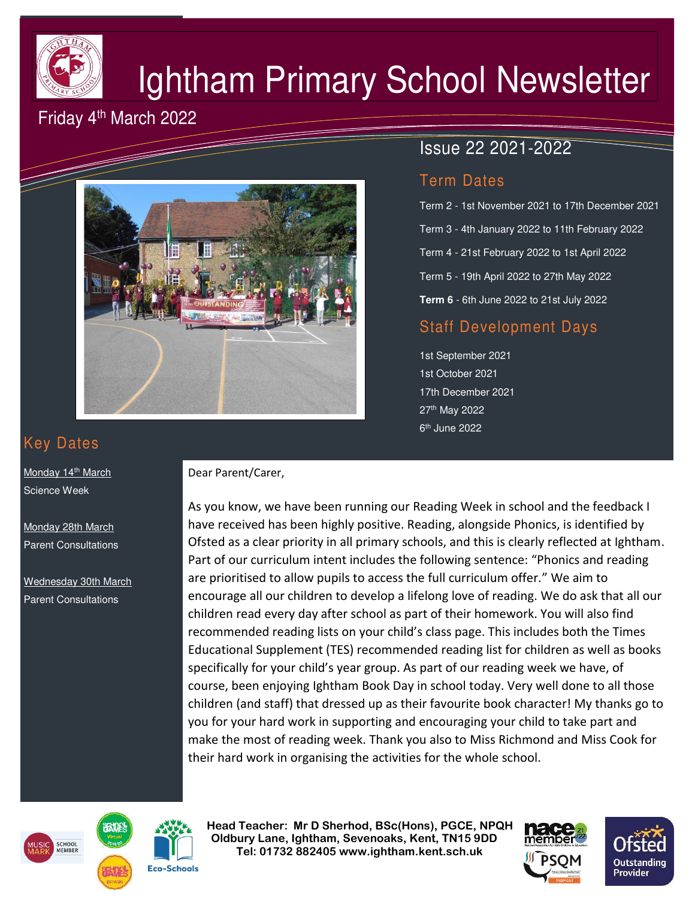

# Ightham Primary School Newsletter

# Friday 4<sup>th</sup> March 2022



# Issue 22 2021-2022

#### Term Dates

Term 2 - 1st November 2021 to 17th December 2021 Term 3 - 4th January 2022 to 11th February 2022 Term 4 - 21st February 2022 to 1st April 2022 Term 5 - 19th April 2022 to 27th May 2022 **Term 6** - 6th June 2022 to 21st July 2022

## Staff Development Days

1st September 2021 1st October 2021 17th December 2021 27th May 2022 6<sup>th</sup> June 2022

# Key Dates

Monday 14<sup>th</sup> March **Science Week** 

Monday 28th March Parent Consultations

Wednesday 30th March Parent Consultations

#### Dear Parent/Carer,

As you know, we have been running our Reading Week in school and the feedback I have received has been highly positive. Reading, alongside Phonics, is identified by Ofsted as a clear priority in all primary schools, and this is clearly reflected at Ightham. Part of our curriculum intent includes the following sentence: "Phonics and reading are prioritised to allow pupils to access the full curriculum offer." We aim to encourage all our children to develop a lifelong love of reading. We do ask that all our children read every day after school as part of their homework. You will also find recommended reading lists on your child's class page. This includes both the Times Educational Supplement (TES) recommended reading list for children as well as books specifically for your child's year group. As part of our reading week we have, of course, been enjoying Ightham Book Day in school today. Very well done to all those children (and staff) that dressed up as their favourite book character! My thanks go to you for your hard work in supporting and encouraging your child to take part and make the most of reading week. Thank you also to Miss Richmond and Miss Cook for their hard work in organising the activities for the whole school.





 **Head Teacher: Mr D Sherhod, BSc(Hons), PGCE, NPQH Oldbury Lane, Ightham, Sevenoaks, Kent, TN15 9DD** EXERIGING THE **TELE: 01732 882405 www.ightham.kent.sch.uk**<br>Tel: 01732 882405 www.ightham.kent.sch.uk



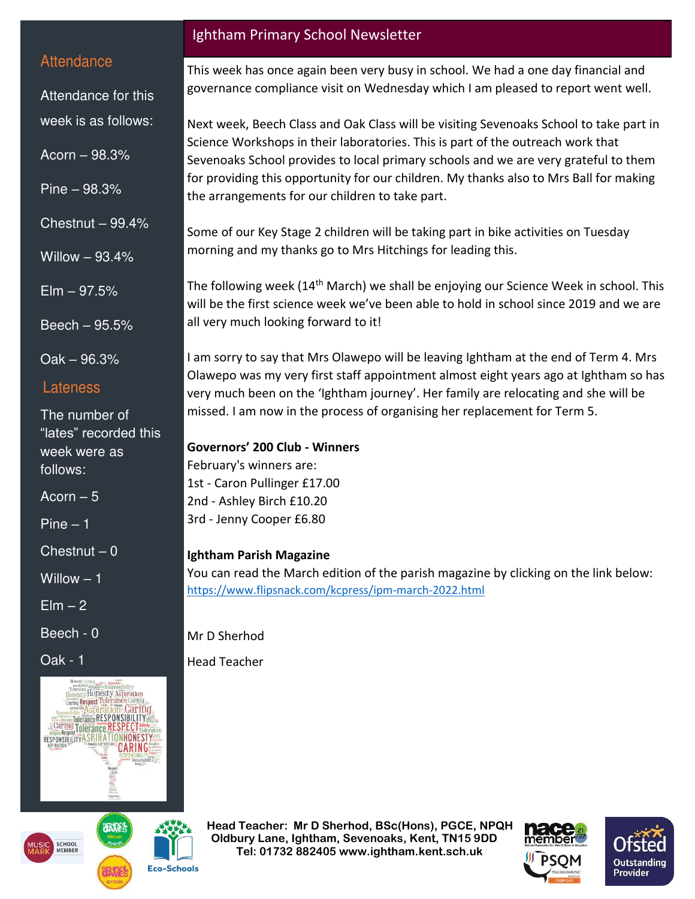#### **Attendance**

Attendance for this week is as follows:

Acorn – 98.3%

Pine – 98.3%

Chestnut  $-99.4%$ 

Willow – 93.4%

 $E$ lm  $-97.5%$ 

Beech – 95.5%

Oak – 96.3%

#### Lateness

The number of "lates" recorded this week were as follows:

Acorn  $-5$ 

Pine – 1

 $Chestnut - 0$ 

Willow – 1

 $E$ lm  $-2$ 

Beech - 0

Oak - 1



**Eco-Schools** 

# Ightham Primary School Newsletter

This week has once again been very busy in school. We had a one day financial and governance compliance visit on Wednesday which I am pleased to report went well.

Next week, Beech Class and Oak Class will be visiting Sevenoaks School to take part in Science Workshops in their laboratories. This is part of the outreach work that Sevenoaks School provides to local primary schools and we are very grateful to them for providing this opportunity for our children. My thanks also to Mrs Ball for making the arrangements for our children to take part.

Some of our Key Stage 2 children will be taking part in bike activities on Tuesday morning and my thanks go to Mrs Hitchings for leading this.

The following week (14<sup>th</sup> March) we shall be enjoying our Science Week in school. This will be the first science week we've been able to hold in school since 2019 and we are all very much looking forward to it!

I am sorry to say that Mrs Olawepo will be leaving Ightham at the end of Term 4. Mrs Olawepo was my very first staff appointment almost eight years ago at Ightham so has very much been on the 'Ightham journey'. Her family are relocating and she will be missed. I am now in the process of organising her replacement for Term 5.

#### **Governors' 200 Club - Winners**

February's winners are: 1st - Caron Pullinger £17.00 2nd - Ashley Birch £10.20 3rd - Jenny Cooper £6.80

#### **Ightham Parish Magazine**

You can read the March edition of the parish magazine by clicking on the link below: <https://www.flipsnack.com/kcpress/ipm-march-2022.html>

Mr D Sherhod Head Teacher

 **Head Teacher: Mr D Sherhod, BSc(Hons), PGCE, NPQH Oldbury Lane, Ightham, Sevenoaks, Kent, TN15 9DD** EXERIGING THE **TELE: 01732 882405 www.ightham.kent.sch.uk**<br>Tel: 01732 882405 www.ightham.kent.sch.uk